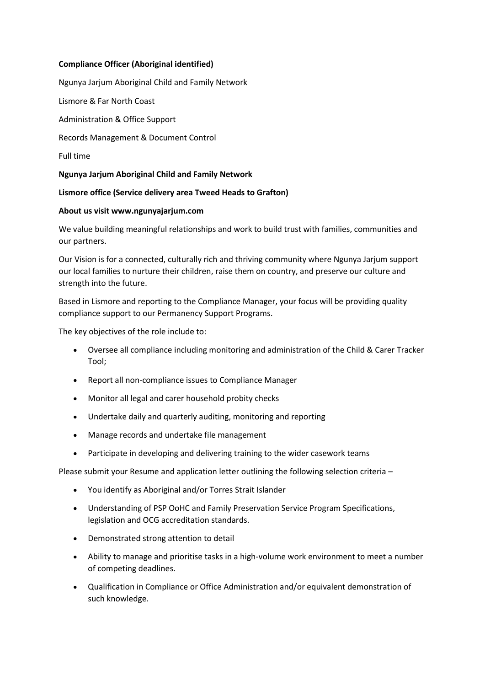## **Compliance Officer (Aboriginal identified)**

Ngunya Jarjum Aboriginal Child and Family Network

Lismore & Far North Coast

Administration & Office Support

Records Management & Document Control

Full time

**Ngunya Jarjum Aboriginal Child and Family Network**

#### **Lismore office (Service delivery area Tweed Heads to Grafton)**

#### **About us visit www.ngunyajarjum.com**

We value building meaningful relationships and work to build trust with families, communities and our partners.

Our Vision is for a connected, culturally rich and thriving community where Ngunya Jarjum support our local families to nurture their children, raise them on country, and preserve our culture and strength into the future.

Based in Lismore and reporting to the Compliance Manager, your focus will be providing quality compliance support to our Permanency Support Programs.

The key objectives of the role include to:

- Oversee all compliance including monitoring and administration of the Child & Carer Tracker Tool;
- Report all non-compliance issues to Compliance Manager
- Monitor all legal and carer household probity checks
- Undertake daily and quarterly auditing, monitoring and reporting
- Manage records and undertake file management
- Participate in developing and delivering training to the wider casework teams

Please submit your Resume and application letter outlining the following selection criteria –

- You identify as Aboriginal and/or Torres Strait Islander
- Understanding of PSP OoHC and Family Preservation Service Program Specifications, legislation and OCG accreditation standards.
- Demonstrated strong attention to detail
- Ability to manage and prioritise tasks in a high-volume work environment to meet a number of competing deadlines.
- Qualification in Compliance or Office Administration and/or equivalent demonstration of such knowledge.